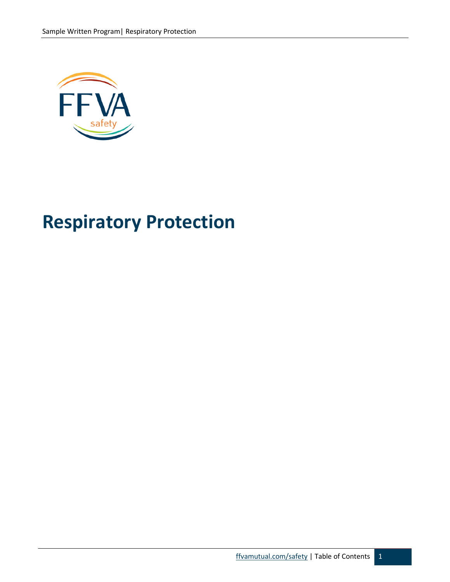

# **Respiratory Protection**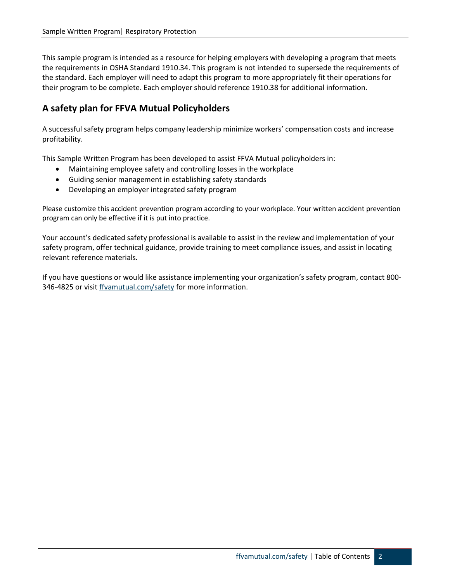This sample program is intended as a resource for helping employers with developing a program that meets the requirements in OSHA Standard 1910.34. This program is not intended to supersede the requirements of the standard. Each employer will need to adapt this program to more appropriately fit their operations for their program to be complete. Each employer should reference 1910.38 for additional information.

# **A safety plan for FFVA Mutual Policyholders**

A successful safety program helps company leadership minimize workers' compensation costs and increase profitability.

This Sample Written Program has been developed to assist FFVA Mutual policyholders in:

- Maintaining employee safety and controlling losses in the workplace
- Guiding senior management in establishing safety standards
- Developing an employer integrated safety program

Please customize this accident prevention program according to your workplace. Your written accident prevention program can only be effective if it is put into practice.

Your account's dedicated safety professional is available to assist in the review and implementation of your safety program, offer technical guidance, provide training to meet compliance issues, and assist in locating relevant reference materials.

If you have questions or would like assistance implementing your organization's safety program, contact 800- 346-4825 or visit [ffvamutual.com/safety](http://www.ffvamutual.com/safety) for more information.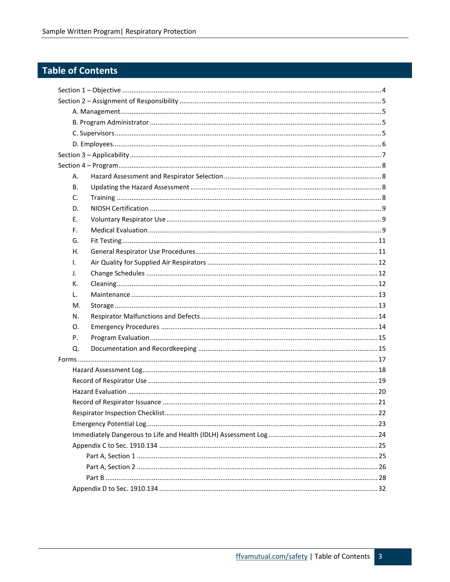# Table of Contents

| А. |  |    |  |  |
|----|--|----|--|--|
| В. |  |    |  |  |
| C. |  |    |  |  |
| D. |  |    |  |  |
| Е. |  |    |  |  |
| F. |  |    |  |  |
| G. |  |    |  |  |
| Η. |  |    |  |  |
| Ι. |  |    |  |  |
| J. |  |    |  |  |
| к. |  |    |  |  |
| L. |  |    |  |  |
| М. |  |    |  |  |
| N. |  |    |  |  |
| 0. |  |    |  |  |
| Ρ. |  |    |  |  |
| Q. |  |    |  |  |
|    |  |    |  |  |
|    |  |    |  |  |
|    |  |    |  |  |
|    |  |    |  |  |
|    |  |    |  |  |
|    |  | 22 |  |  |
|    |  |    |  |  |
|    |  |    |  |  |
|    |  |    |  |  |
|    |  |    |  |  |
|    |  |    |  |  |
|    |  |    |  |  |
|    |  |    |  |  |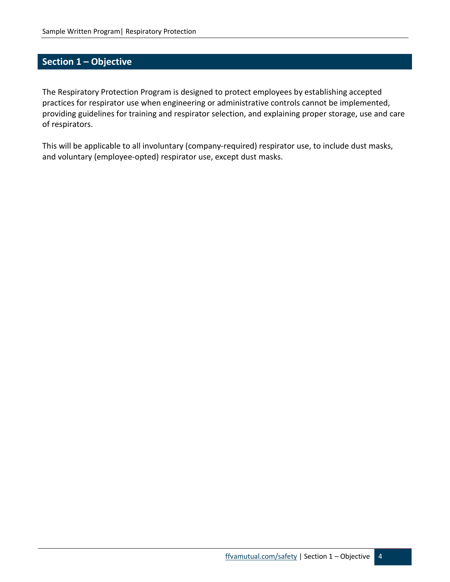# <span id="page-3-0"></span>**Section 1 – Objective**

The Respiratory Protection Program is designed to protect employees by establishing accepted practices for respirator use when engineering or administrative controls cannot be implemented, providing guidelines for training and respirator selection, and explaining proper storage, use and care of respirators.

This will be applicable to all involuntary (company-required) respirator use, to include dust masks, and voluntary (employee-opted) respirator use, except dust masks.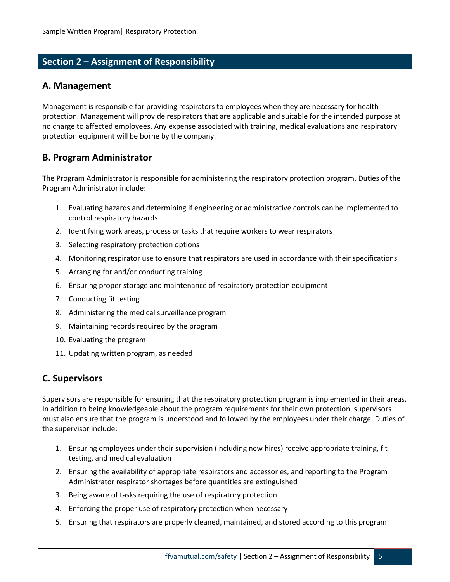# <span id="page-4-0"></span>**Section 2 – Assignment of Responsibility**

#### <span id="page-4-1"></span>**A. Management**

Management is responsible for providing respirators to employees when they are necessary for health protection. Management will provide respirators that are applicable and suitable for the intended purpose at no charge to affected employees. Any expense associated with training, medical evaluations and respiratory protection equipment will be borne by the company.

#### <span id="page-4-2"></span>**B. Program Administrator**

The Program Administrator is responsible for administering the respiratory protection program. Duties of the Program Administrator include:

- 1. Evaluating hazards and determining if engineering or administrative controls can be implemented to control respiratory hazards
- 2. Identifying work areas, process or tasks that require workers to wear respirators
- 3. Selecting respiratory protection options
- 4. Monitoring respirator use to ensure that respirators are used in accordance with their specifications
- 5. Arranging for and/or conducting training
- 6. Ensuring proper storage and maintenance of respiratory protection equipment
- 7. Conducting fit testing
- 8. Administering the medical surveillance program
- 9. Maintaining records required by the program
- 10. Evaluating the program
- 11. Updating written program, as needed

#### <span id="page-4-3"></span>**C. Supervisors**

Supervisors are responsible for ensuring that the respiratory protection program is implemented in their areas. In addition to being knowledgeable about the program requirements for their own protection, supervisors must also ensure that the program is understood and followed by the employees under their charge. Duties of the supervisor include:

- 1. Ensuring employees under their supervision (including new hires) receive appropriate training, fit testing, and medical evaluation
- 2. Ensuring the availability of appropriate respirators and accessories, and reporting to the Program Administrator respirator shortages before quantities are extinguished
- 3. Being aware of tasks requiring the use of respiratory protection
- 4. Enforcing the proper use of respiratory protection when necessary
- 5. Ensuring that respirators are properly cleaned, maintained, and stored according to this program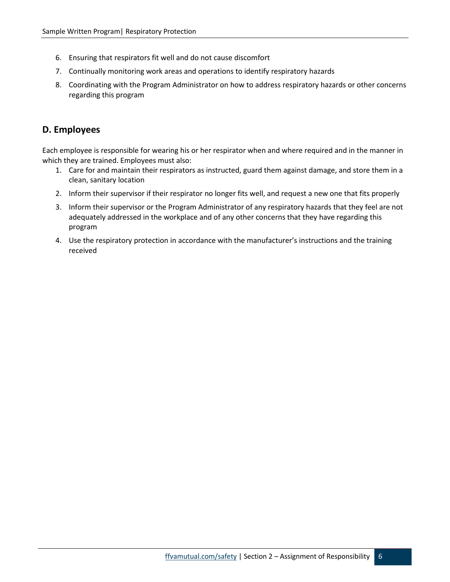- 6. Ensuring that respirators fit well and do not cause discomfort
- 7. Continually monitoring work areas and operations to identify respiratory hazards
- 8. Coordinating with the Program Administrator on how to address respiratory hazards or other concerns regarding this program

#### <span id="page-5-0"></span>**D. Employees**

Each employee is responsible for wearing his or her respirator when and where required and in the manner in which they are trained. Employees must also:

- 1. Care for and maintain their respirators as instructed, guard them against damage, and store them in a clean, sanitary location
- 2. Inform their supervisor if their respirator no longer fits well, and request a new one that fits properly
- 3. Inform their supervisor or the Program Administrator of any respiratory hazards that they feel are not adequately addressed in the workplace and of any other concerns that they have regarding this program
- 4. Use the respiratory protection in accordance with the manufacturer's instructions and the training received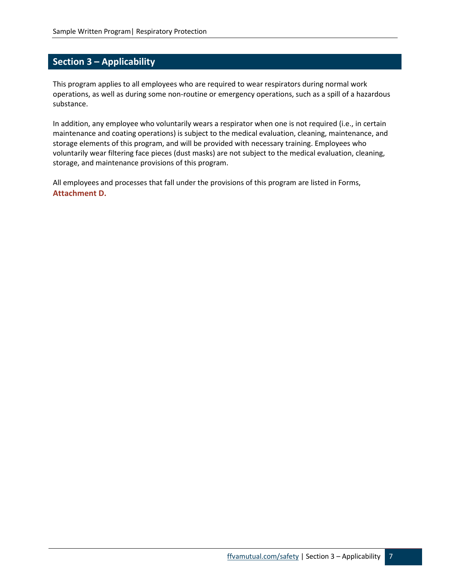# <span id="page-6-0"></span>**Section 3 – Applicability**

This program applies to all employees who are required to wear respirators during normal work operations, as well as during some non-routine or emergency operations, such as a spill of a hazardous substance.

In addition, any employee who voluntarily wears a respirator when one is not required (i.e., in certain maintenance and coating operations) is subject to the medical evaluation, cleaning, maintenance, and storage elements of this program, and will be provided with necessary training. Employees who voluntarily wear filtering face pieces (dust masks) are not subject to the medical evaluation, cleaning, storage, and maintenance provisions of this program.

All employees and processes that fall under the provisions of this program are listed in Forms, **Attachment D.**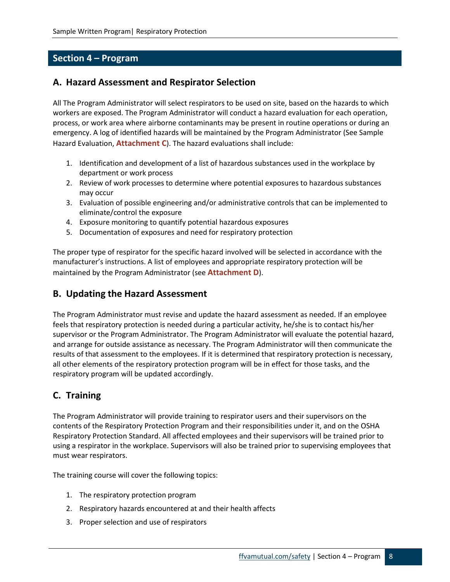## <span id="page-7-0"></span>**Section 4 – Program**

## <span id="page-7-1"></span>**A. Hazard Assessment and Respirator Selection**

All The Program Administrator will select respirators to be used on site, based on the hazards to which workers are exposed. The Program Administrator will conduct a hazard evaluation for each operation, process, or work area where airborne contaminants may be present in routine operations or during an emergency. A log of identified hazards will be maintained by the Program Administrator (See Sample Hazard Evaluation, **Attachment C**). The hazard evaluations shall include:

- 1. Identification and development of a list of hazardous substances used in the workplace by department or work process
- 2. Review of work processes to determine where potential exposures to hazardous substances may occur
- 3. Evaluation of possible engineering and/or administrative controls that can be implemented to eliminate/control the exposure
- 4. Exposure monitoring to quantify potential hazardous exposures
- 5. Documentation of exposures and need for respiratory protection

The proper type of respirator for the specific hazard involved will be selected in accordance with the manufacturer's instructions. A list of employees and appropriate respiratory protection will be maintained by the Program Administrator (see **Attachment D**).

## <span id="page-7-2"></span>**B. Updating the Hazard Assessment**

The Program Administrator must revise and update the hazard assessment as needed. If an employee feels that respiratory protection is needed during a particular activity, he/she is to contact his/her supervisor or the Program Administrator. The Program Administrator will evaluate the potential hazard, and arrange for outside assistance as necessary. The Program Administrator will then communicate the results of that assessment to the employees. If it is determined that respiratory protection is necessary, all other elements of the respiratory protection program will be in effect for those tasks, and the respiratory program will be updated accordingly.

# <span id="page-7-3"></span>**C. Training**

The Program Administrator will provide training to respirator users and their supervisors on the contents of the Respiratory Protection Program and their responsibilities under it, and on the OSHA Respiratory Protection Standard. All affected employees and their supervisors will be trained prior to using a respirator in the workplace. Supervisors will also be trained prior to supervising employees that must wear respirators.

The training course will cover the following topics:

- 1. The respiratory protection program
- 2. Respiratory hazards encountered at and their health affects
- 3. Proper selection and use of respirators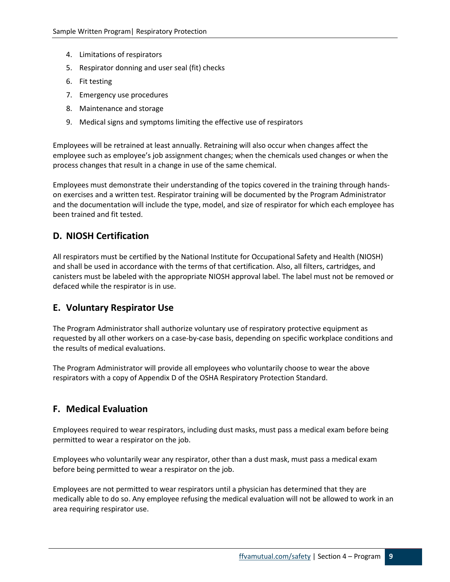- 4. Limitations of respirators
- 5. Respirator donning and user seal (fit) checks
- 6. Fit testing
- 7. Emergency use procedures
- 8. Maintenance and storage
- 9. Medical signs and symptoms limiting the effective use of respirators

Employees will be retrained at least annually. Retraining will also occur when changes affect the employee such as employee's job assignment changes; when the chemicals used changes or when the process changes that result in a change in use of the same chemical.

Employees must demonstrate their understanding of the topics covered in the training through handson exercises and a written test. Respirator training will be documented by the Program Administrator and the documentation will include the type, model, and size of respirator for which each employee has been trained and fit tested.

#### <span id="page-8-0"></span>**D. NIOSH Certification**

All respirators must be certified by the National Institute for Occupational Safety and Health (NIOSH) and shall be used in accordance with the terms of that certification. Also, all filters, cartridges, and canisters must be labeled with the appropriate NIOSH approval label. The label must not be removed or defaced while the respirator is in use.

#### <span id="page-8-1"></span>**E. Voluntary Respirator Use**

The Program Administrator shall authorize voluntary use of respiratory protective equipment as requested by all other workers on a case-by-case basis, depending on specific workplace conditions and the results of medical evaluations.

The Program Administrator will provide all employees who voluntarily choose to wear the above respirators with a copy of Appendix D of the OSHA Respiratory Protection Standard.

#### <span id="page-8-2"></span>**F. Medical Evaluation**

Employees required to wear respirators, including dust masks, must pass a medical exam before being permitted to wear a respirator on the job.

Employees who voluntarily wear any respirator, other than a dust mask, must pass a medical exam before being permitted to wear a respirator on the job.

Employees are not permitted to wear respirators until a physician has determined that they are medically able to do so. Any employee refusing the medical evaluation will not be allowed to work in an area requiring respirator use.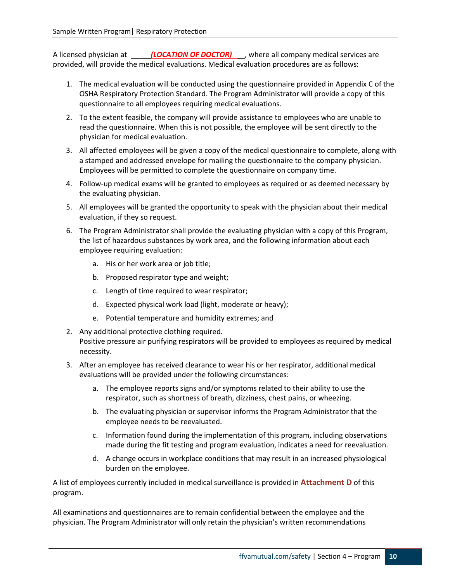A licensed physician at *(LOCATION OF DOCTOR)* where all company medical services are provided, will provide the medical evaluations. Medical evaluation procedures are as follows:

- 1. The medical evaluation will be conducted using the questionnaire provided in Appendix C of the OSHA Respiratory Protection Standard. The Program Administrator will provide a copy of this questionnaire to all employees requiring medical evaluations.
- 2. To the extent feasible, the company will provide assistance to employees who are unable to read the questionnaire. When this is not possible, the employee will be sent directly to the physician for medical evaluation.
- 3. All affected employees will be given a copy of the medical questionnaire to complete, along with a stamped and addressed envelope for mailing the questionnaire to the company physician. Employees will be permitted to complete the questionnaire on company time.
- 4. Follow-up medical exams will be granted to employees as required or as deemed necessary by the evaluating physician.
- 5. All employees will be granted the opportunity to speak with the physician about their medical evaluation, if they so request.
- 6. The Program Administrator shall provide the evaluating physician with a copy of this Program, the list of hazardous substances by work area, and the following information about each employee requiring evaluation:
	- a. His or her work area or job title;
	- b. Proposed respirator type and weight;
	- c. Length of time required to wear respirator;
	- d. Expected physical work load (light, moderate or heavy);
	- e. Potential temperature and humidity extremes; and
- 2. Any additional protective clothing required. Positive pressure air purifying respirators will be provided to employees as required by medical necessity.
- 3. After an employee has received clearance to wear his or her respirator, additional medical evaluations will be provided under the following circumstances:
	- a. The employee reports signs and/or symptoms related to their ability to use the respirator, such as shortness of breath, dizziness, chest pains, or wheezing.
	- b. The evaluating physician or supervisor informs the Program Administrator that the employee needs to be reevaluated.
	- c. Information found during the implementation of this program, including observations made during the fit testing and program evaluation, indicates a need for reevaluation.
	- d. A change occurs in workplace conditions that may result in an increased physiological burden on the employee.

A list of employees currently included in medical surveillance is provided in **Attachment D** of this program.

All examinations and questionnaires are to remain confidential between the employee and the physician. The Program Administrator will only retain the physician's written recommendations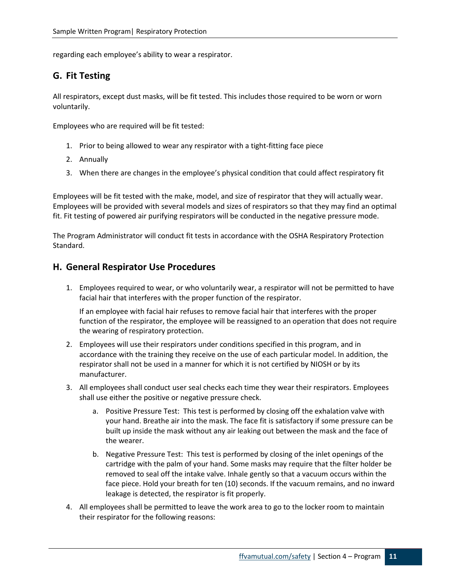regarding each employee's ability to wear a respirator.

## <span id="page-10-0"></span>**G. Fit Testing**

All respirators, except dust masks, will be fit tested. This includes those required to be worn or worn voluntarily.

Employees who are required will be fit tested:

- 1. Prior to being allowed to wear any respirator with a tight-fitting face piece
- 2. Annually
- 3. When there are changes in the employee's physical condition that could affect respiratory fit

Employees will be fit tested with the make, model, and size of respirator that they will actually wear. Employees will be provided with several models and sizes of respirators so that they may find an optimal fit. Fit testing of powered air purifying respirators will be conducted in the negative pressure mode.

The Program Administrator will conduct fit tests in accordance with the OSHA Respiratory Protection Standard.

#### <span id="page-10-1"></span>**H. General Respirator Use Procedures**

1. Employees required to wear, or who voluntarily wear, a respirator will not be permitted to have facial hair that interferes with the proper function of the respirator.

If an employee with facial hair refuses to remove facial hair that interferes with the proper function of the respirator, the employee will be reassigned to an operation that does not require the wearing of respiratory protection.

- 2. Employees will use their respirators under conditions specified in this program, and in accordance with the training they receive on the use of each particular model. In addition, the respirator shall not be used in a manner for which it is not certified by NIOSH or by its manufacturer.
- 3. All employees shall conduct user seal checks each time they wear their respirators. Employees shall use either the positive or negative pressure check.
	- a. Positive Pressure Test: This test is performed by closing off the exhalation valve with your hand. Breathe air into the mask. The face fit is satisfactory if some pressure can be built up inside the mask without any air leaking out between the mask and the face of the wearer.
	- b. Negative Pressure Test: This test is performed by closing of the inlet openings of the cartridge with the palm of your hand. Some masks may require that the filter holder be removed to seal off the intake valve. Inhale gently so that a vacuum occurs within the face piece. Hold your breath for ten (10) seconds. If the vacuum remains, and no inward leakage is detected, the respirator is fit properly.
- 4. All employees shall be permitted to leave the work area to go to the locker room to maintain their respirator for the following reasons: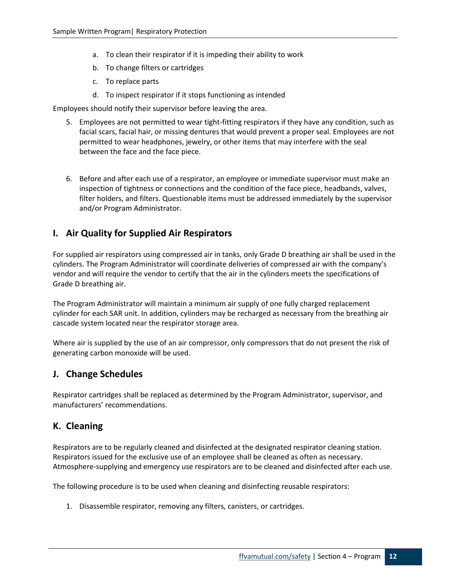- a. To clean their respirator if it is impeding their ability to work
- b. To change filters or cartridges
- c. To replace parts
- d. To inspect respirator if it stops functioning as intended

Employees should notify their supervisor before leaving the area.

- 5. Employees are not permitted to wear tight-fitting respirators if they have any condition, such as facial scars, facial hair, or missing dentures that would prevent a proper seal. Employees are not permitted to wear headphones, jewelry, or other items that may interfere with the seal between the face and the face piece.
- 6. Before and after each use of a respirator, an employee or immediate supervisor must make an inspection of tightness or connections and the condition of the face piece, headbands, valves, filter holders, and filters. Questionable items must be addressed immediately by the supervisor and/or Program Administrator.

#### <span id="page-11-0"></span>**I. Air Quality for Supplied Air Respirators**

For supplied air respirators using compressed air in tanks, only Grade D breathing air shall be used in the cylinders. The Program Administrator will coordinate deliveries of compressed air with the company's vendor and will require the vendor to certify that the air in the cylinders meets the specifications of Grade D breathing air.

The Program Administrator will maintain a minimum air supply of one fully charged replacement cylinder for each SAR unit. In addition, cylinders may be recharged as necessary from the breathing air cascade system located near the respirator storage area.

Where air is supplied by the use of an air compressor, only compressors that do not present the risk of generating carbon monoxide will be used.

#### <span id="page-11-1"></span>**J. Change Schedules**

Respirator cartridges shall be replaced as determined by the Program Administrator, supervisor, and manufacturers' recommendations.

#### <span id="page-11-2"></span>**K. Cleaning**

Respirators are to be regularly cleaned and disinfected at the designated respirator cleaning station. Respirators issued for the exclusive use of an employee shall be cleaned as often as necessary. Atmosphere-supplying and emergency use respirators are to be cleaned and disinfected after each use.

The following procedure is to be used when cleaning and disinfecting reusable respirators:

1. Disassemble respirator, removing any filters, canisters, or cartridges.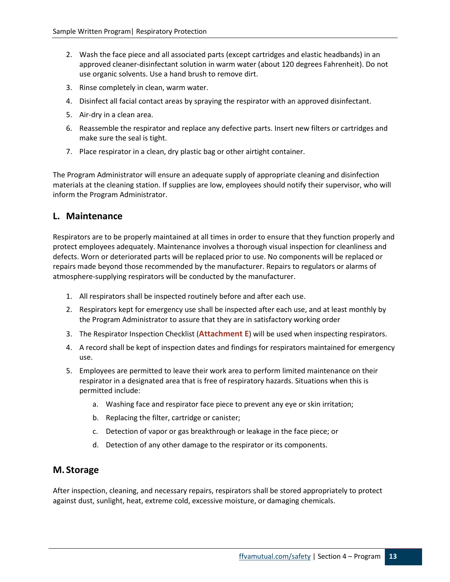- 2. Wash the face piece and all associated parts (except cartridges and elastic headbands) in an approved cleaner-disinfectant solution in warm water (about 120 degrees Fahrenheit). Do not use organic solvents. Use a hand brush to remove dirt.
- 3. Rinse completely in clean, warm water.
- 4. Disinfect all facial contact areas by spraying the respirator with an approved disinfectant.
- 5. Air-dry in a clean area.
- 6. Reassemble the respirator and replace any defective parts. Insert new filters or cartridges and make sure the seal is tight.
- 7. Place respirator in a clean, dry plastic bag or other airtight container.

The Program Administrator will ensure an adequate supply of appropriate cleaning and disinfection materials at the cleaning station. If supplies are low, employees should notify their supervisor, who will inform the Program Administrator.

#### <span id="page-12-0"></span>**L. Maintenance**

Respirators are to be properly maintained at all times in order to ensure that they function properly and protect employees adequately. Maintenance involves a thorough visual inspection for cleanliness and defects. Worn or deteriorated parts will be replaced prior to use. No components will be replaced or repairs made beyond those recommended by the manufacturer. Repairs to regulators or alarms of atmosphere-supplying respirators will be conducted by the manufacturer.

- 1. All respirators shall be inspected routinely before and after each use.
- 2. Respirators kept for emergency use shall be inspected after each use, and at least monthly by the Program Administrator to assure that they are in satisfactory working order
- 3. The Respirator Inspection Checklist (**Attachment E**) will be used when inspecting respirators.
- 4. A record shall be kept of inspection dates and findings for respirators maintained for emergency use.
- 5. Employees are permitted to leave their work area to perform limited maintenance on their respirator in a designated area that is free of respiratory hazards. Situations when this is permitted include:
	- a. Washing face and respirator face piece to prevent any eye or skin irritation;
	- b. Replacing the filter, cartridge or canister;
	- c. Detection of vapor or gas breakthrough or leakage in the face piece; or
	- d. Detection of any other damage to the respirator or its components.

#### <span id="page-12-1"></span>**M. Storage**

After inspection, cleaning, and necessary repairs, respirators shall be stored appropriately to protect against dust, sunlight, heat, extreme cold, excessive moisture, or damaging chemicals.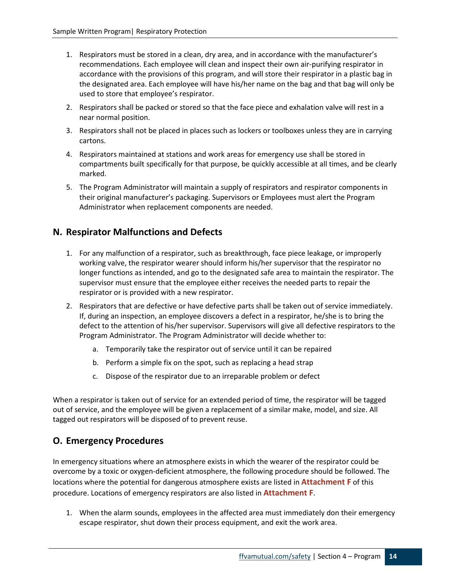- 1. Respirators must be stored in a clean, dry area, and in accordance with the manufacturer's recommendations. Each employee will clean and inspect their own air-purifying respirator in accordance with the provisions of this program, and will store their respirator in a plastic bag in the designated area. Each employee will have his/her name on the bag and that bag will only be used to store that employee's respirator.
- 2. Respirators shall be packed or stored so that the face piece and exhalation valve will rest in a near normal position.
- 3. Respirators shall not be placed in places such as lockers or toolboxes unless they are in carrying cartons.
- 4. Respirators maintained at stations and work areas for emergency use shall be stored in compartments built specifically for that purpose, be quickly accessible at all times, and be clearly marked.
- 5. The Program Administrator will maintain a supply of respirators and respirator components in their original manufacturer's packaging. Supervisors or Employees must alert the Program Administrator when replacement components are needed.

# <span id="page-13-0"></span>**N. Respirator Malfunctions and Defects**

- 1. For any malfunction of a respirator, such as breakthrough, face piece leakage, or improperly working valve, the respirator wearer should inform his/her supervisor that the respirator no longer functions as intended, and go to the designated safe area to maintain the respirator. The supervisor must ensure that the employee either receives the needed parts to repair the respirator or is provided with a new respirator.
- 2. Respirators that are defective or have defective parts shall be taken out of service immediately. If, during an inspection, an employee discovers a defect in a respirator, he/she is to bring the defect to the attention of his/her supervisor. Supervisors will give all defective respirators to the Program Administrator. The Program Administrator will decide whether to:
	- a. Temporarily take the respirator out of service until it can be repaired
	- b. Perform a simple fix on the spot, such as replacing a head strap
	- c. Dispose of the respirator due to an irreparable problem or defect

When a respirator is taken out of service for an extended period of time, the respirator will be tagged out of service, and the employee will be given a replacement of a similar make, model, and size. All tagged out respirators will be disposed of to prevent reuse.

# <span id="page-13-1"></span>**O. Emergency Procedures**

In emergency situations where an atmosphere exists in which the wearer of the respirator could be overcome by a toxic or oxygen-deficient atmosphere, the following procedure should be followed. The locations where the potential for dangerous atmosphere exists are listed in **Attachment F** of this procedure. Locations of emergency respirators are also listed in **Attachment F**.

1. When the alarm sounds, employees in the affected area must immediately don their emergency escape respirator, shut down their process equipment, and exit the work area.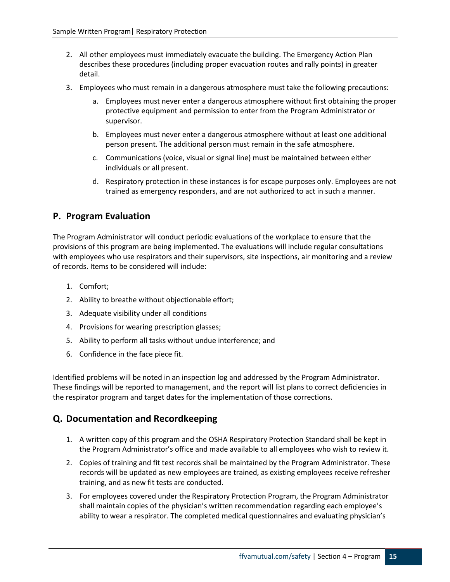- 2. All other employees must immediately evacuate the building. The Emergency Action Plan describes these procedures (including proper evacuation routes and rally points) in greater detail.
- 3. Employees who must remain in a dangerous atmosphere must take the following precautions:
	- a. Employees must never enter a dangerous atmosphere without first obtaining the proper protective equipment and permission to enter from the Program Administrator or supervisor.
	- b. Employees must never enter a dangerous atmosphere without at least one additional person present. The additional person must remain in the safe atmosphere.
	- c. Communications (voice, visual or signal line) must be maintained between either individuals or all present.
	- d. Respiratory protection in these instances is for escape purposes only. Employees are not trained as emergency responders, and are not authorized to act in such a manner.

# <span id="page-14-0"></span>**P. Program Evaluation**

The Program Administrator will conduct periodic evaluations of the workplace to ensure that the provisions of this program are being implemented. The evaluations will include regular consultations with employees who use respirators and their supervisors, site inspections, air monitoring and a review of records. Items to be considered will include:

- 1. Comfort;
- 2. Ability to breathe without objectionable effort;
- 3. Adequate visibility under all conditions
- 4. Provisions for wearing prescription glasses;
- 5. Ability to perform all tasks without undue interference; and
- 6. Confidence in the face piece fit.

Identified problems will be noted in an inspection log and addressed by the Program Administrator. These findings will be reported to management, and the report will list plans to correct deficiencies in the respirator program and target dates for the implementation of those corrections.

# <span id="page-14-1"></span>**Q. Documentation and Recordkeeping**

- 1. A written copy of this program and the OSHA Respiratory Protection Standard shall be kept in the Program Administrator's office and made available to all employees who wish to review it.
- 2. Copies of training and fit test records shall be maintained by the Program Administrator. These records will be updated as new employees are trained, as existing employees receive refresher training, and as new fit tests are conducted.
- 3. For employees covered under the Respiratory Protection Program, the Program Administrator shall maintain copies of the physician's written recommendation regarding each employee's ability to wear a respirator. The completed medical questionnaires and evaluating physician's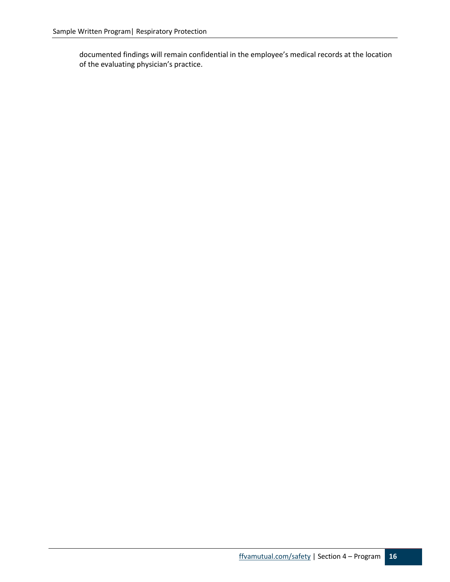documented findings will remain confidential in the employee's medical records at the location of the evaluating physician's practice.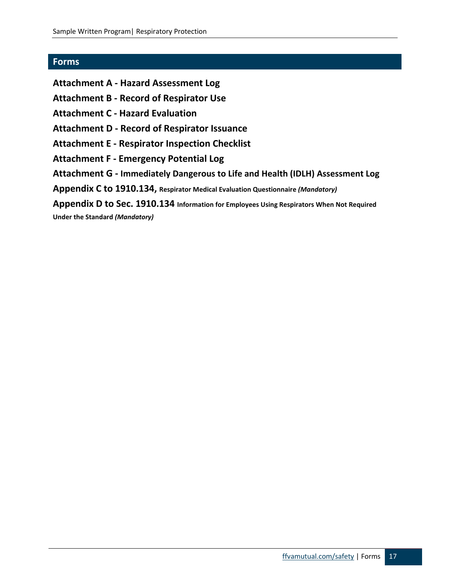#### <span id="page-16-0"></span>**Forms**

- **Attachment A - Hazard Assessment Log**
- **Attachment B - Record of Respirator Use**
- **Attachment C - Hazard Evaluation**
- **Attachment D - Record of Respirator Issuance**
- **Attachment E - Respirator Inspection Checklist**
- **Attachment F - Emergency Potential Log**
- **Attachment G - Immediately Dangerous to Life and Health (IDLH) Assessment Log**
- **Appendix C to 1910.134, Respirator Medical Evaluation Questionnaire** *(Mandatory)*
- **Appendix D to Sec. 1910.134 Information for Employees Using Respirators When Not Required Under the Standard** *(Mandatory)*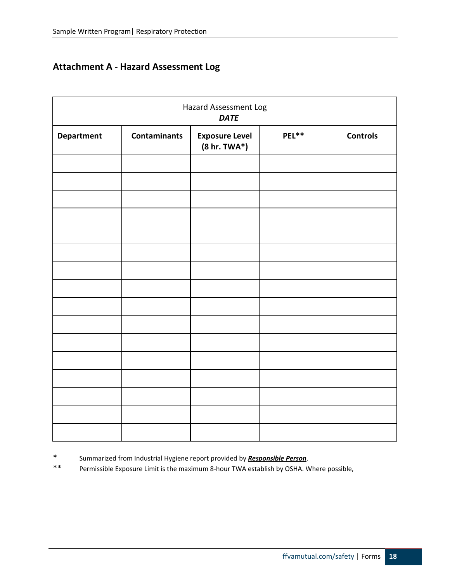# <span id="page-17-0"></span>**Attachment A - Hazard Assessment Log**

|            |                     | Hazard Assessment Log<br><b>DATE</b>     |       |                 |
|------------|---------------------|------------------------------------------|-------|-----------------|
| Department | <b>Contaminants</b> | <b>Exposure Level</b><br>$(8 hr. TWA^*)$ | PEL** | <b>Controls</b> |
|            |                     |                                          |       |                 |
|            |                     |                                          |       |                 |
|            |                     |                                          |       |                 |
|            |                     |                                          |       |                 |
|            |                     |                                          |       |                 |
|            |                     |                                          |       |                 |
|            |                     |                                          |       |                 |
|            |                     |                                          |       |                 |
|            |                     |                                          |       |                 |
|            |                     |                                          |       |                 |
|            |                     |                                          |       |                 |
|            |                     |                                          |       |                 |
|            |                     |                                          |       |                 |

\* Summarized from Industrial Hygiene report provided by *Responsible Person*.

Permissible Exposure Limit is the maximum 8-hour TWA establish by OSHA. Where possible,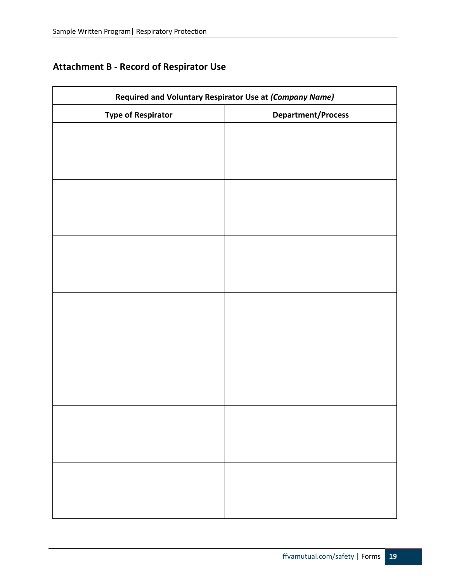# <span id="page-18-0"></span>**Attachment B - Record of Respirator Use**

| Required and Voluntary Respirator Use at (Company Name) |                           |  |
|---------------------------------------------------------|---------------------------|--|
| <b>Type of Respirator</b>                               | <b>Department/Process</b> |  |
|                                                         |                           |  |
|                                                         |                           |  |
|                                                         |                           |  |
|                                                         |                           |  |
|                                                         |                           |  |
|                                                         |                           |  |
|                                                         |                           |  |
|                                                         |                           |  |
|                                                         |                           |  |
|                                                         |                           |  |
|                                                         |                           |  |
|                                                         |                           |  |
|                                                         |                           |  |
|                                                         |                           |  |
|                                                         |                           |  |
|                                                         |                           |  |
|                                                         |                           |  |
|                                                         |                           |  |
|                                                         |                           |  |
|                                                         |                           |  |
|                                                         |                           |  |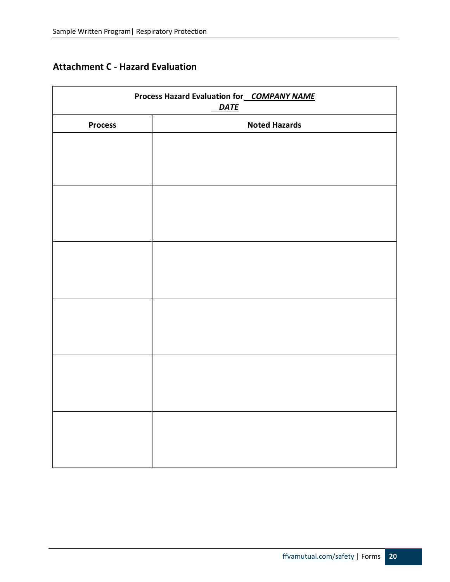# <span id="page-19-0"></span>**Attachment C - Hazard Evaluation**

| Process Hazard Evaluation for COMPANY NAME<br><b>DATE</b> |                      |  |
|-----------------------------------------------------------|----------------------|--|
| <b>Process</b>                                            | <b>Noted Hazards</b> |  |
|                                                           |                      |  |
|                                                           |                      |  |
|                                                           |                      |  |
|                                                           |                      |  |
|                                                           |                      |  |
|                                                           |                      |  |
|                                                           |                      |  |
|                                                           |                      |  |
|                                                           |                      |  |
|                                                           |                      |  |
|                                                           |                      |  |
|                                                           |                      |  |
|                                                           |                      |  |
|                                                           |                      |  |
|                                                           |                      |  |
|                                                           |                      |  |
|                                                           |                      |  |
|                                                           |                      |  |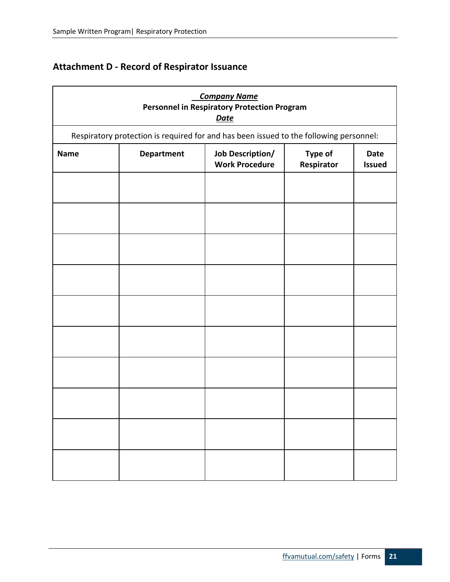# <span id="page-20-0"></span>**Attachment D - Record of Respirator Issuance**

|             |                                                                                        | <b>Company Name</b><br><b>Personnel in Respiratory Protection Program</b><br><b>Date</b> |                       |                              |
|-------------|----------------------------------------------------------------------------------------|------------------------------------------------------------------------------------------|-----------------------|------------------------------|
|             | Respiratory protection is required for and has been issued to the following personnel: |                                                                                          |                       |                              |
| <b>Name</b> | <b>Department</b>                                                                      | <b>Job Description/</b><br><b>Work Procedure</b>                                         | Type of<br>Respirator | <b>Date</b><br><b>Issued</b> |
|             |                                                                                        |                                                                                          |                       |                              |
|             |                                                                                        |                                                                                          |                       |                              |
|             |                                                                                        |                                                                                          |                       |                              |
|             |                                                                                        |                                                                                          |                       |                              |
|             |                                                                                        |                                                                                          |                       |                              |
|             |                                                                                        |                                                                                          |                       |                              |
|             |                                                                                        |                                                                                          |                       |                              |
|             |                                                                                        |                                                                                          |                       |                              |
|             |                                                                                        |                                                                                          |                       |                              |
|             |                                                                                        |                                                                                          |                       |                              |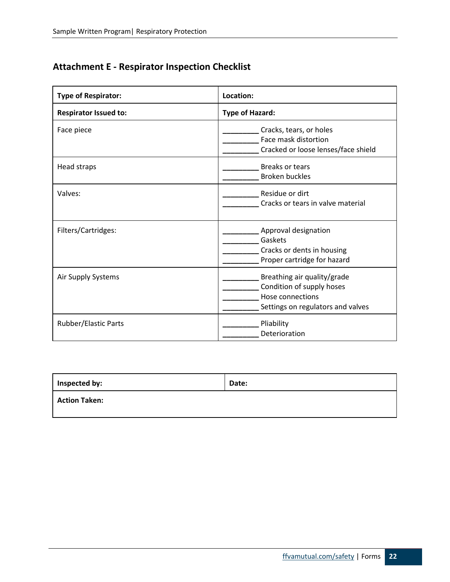# <span id="page-21-0"></span>**Attachment E - Respirator Inspection Checklist**

| <b>Type of Respirator:</b>   | Location:                                                                                                         |  |
|------------------------------|-------------------------------------------------------------------------------------------------------------------|--|
| <b>Respirator Issued to:</b> | <b>Type of Hazard:</b>                                                                                            |  |
| Face piece                   | Cracks, tears, or holes<br>Face mask distortion<br>Cracked or loose lenses/face shield                            |  |
| Head straps                  | <b>Breaks or tears</b><br><b>Broken buckles</b>                                                                   |  |
| Valves:                      | Residue or dirt<br>Cracks or tears in valve material                                                              |  |
| Filters/Cartridges:          | Approval designation<br>Gaskets<br>Cracks or dents in housing<br>Proper cartridge for hazard                      |  |
| Air Supply Systems           | Breathing air quality/grade<br>Condition of supply hoses<br>Hose connections<br>Settings on regulators and valves |  |
| <b>Rubber/Elastic Parts</b>  | Pliability<br>Deterioration                                                                                       |  |

| Inspected by:        | Date: |
|----------------------|-------|
| <b>Action Taken:</b> |       |
|                      |       |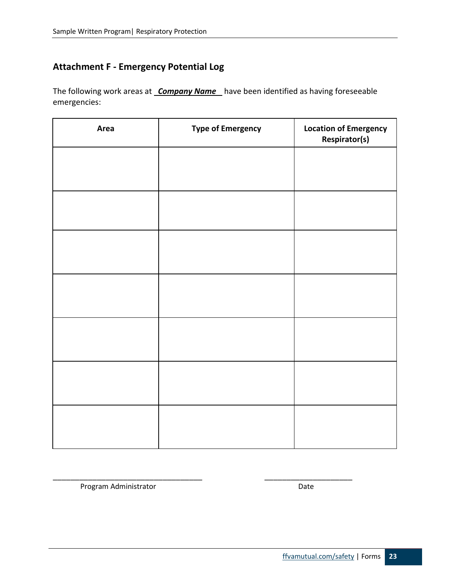# <span id="page-22-0"></span>**Attachment F - Emergency Potential Log**

The following work areas at *Company Name* have been identified as having foreseeable emergencies:

| Area | <b>Type of Emergency</b> | <b>Location of Emergency</b><br><b>Respirator(s)</b> |
|------|--------------------------|------------------------------------------------------|
|      |                          |                                                      |
|      |                          |                                                      |
|      |                          |                                                      |
|      |                          |                                                      |
|      |                          |                                                      |
|      |                          |                                                      |
|      |                          |                                                      |
|      |                          |                                                      |

\_\_\_\_\_\_\_\_\_\_\_\_\_\_\_\_\_\_\_\_\_\_\_\_\_\_\_\_\_\_\_\_\_\_ \_\_\_\_\_\_\_\_\_\_\_\_\_\_\_\_\_\_\_\_

Program Administrator **Date**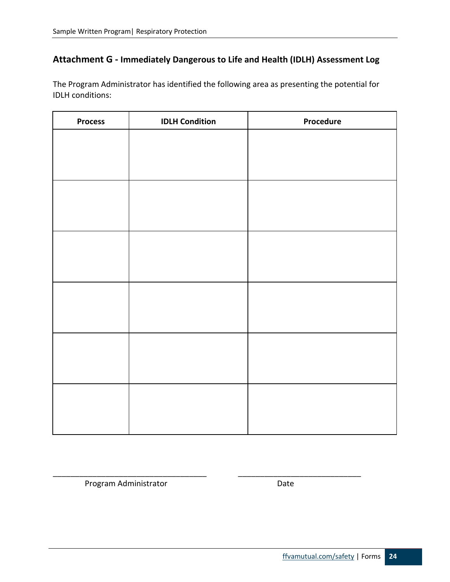## <span id="page-23-0"></span>**Attachment G - Immediately Dangerous to Life and Health (IDLH) Assessment Log**

The Program Administrator has identified the following area as presenting the potential for IDLH conditions:

| <b>Process</b> | <b>IDLH Condition</b> | Procedure |
|----------------|-----------------------|-----------|
|                |                       |           |
|                |                       |           |
|                |                       |           |
|                |                       |           |
|                |                       |           |
|                |                       |           |
|                |                       |           |
|                |                       |           |
|                |                       |           |
|                |                       |           |
|                |                       |           |
|                |                       |           |
|                |                       |           |
|                |                       |           |
|                |                       |           |
|                |                       |           |
|                |                       |           |
|                |                       |           |

\_\_\_\_\_\_\_\_\_\_\_\_\_\_\_\_\_\_\_\_\_\_\_\_\_\_\_\_\_\_\_\_\_\_\_ \_\_\_\_\_\_\_\_\_\_\_\_\_\_\_\_\_\_\_\_\_\_\_\_\_\_\_\_

Program Administrator **Date**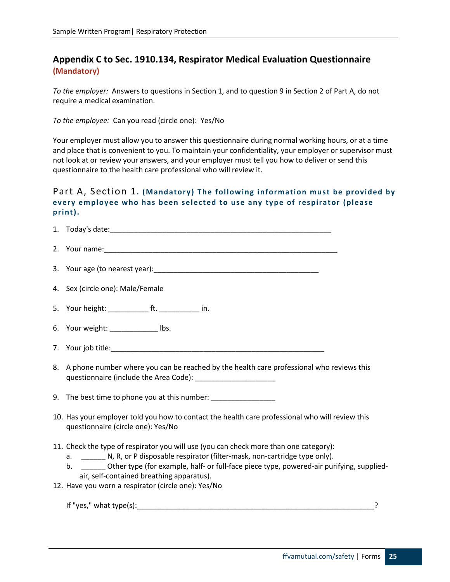# <span id="page-24-0"></span>**Appendix C to Sec. 1910.134, Respirator Medical Evaluation Questionnaire (Mandatory)**

*To the employer:* Answers to questions in Section 1, and to question 9 in Section 2 of Part A, do not require a medical examination.

*To the employee:* Can you read (circle one): Yes/No

Your employer must allow you to answer this questionnaire during normal working hours, or at a time and place that is convenient to you. To maintain your confidentiality, your employer or supervisor must not look at or review your answers, and your employer must tell you how to deliver or send this questionnaire to the health care professional who will review it.

#### <span id="page-24-1"></span>Part A, Section 1**. (Mandatory) The following information must be provided by every employee who has been selected to use any type of respirator (please print).**

| 4. Sex (circle one): Male/Female                                                                                                                                                                                                                                                                                                                                                  |
|-----------------------------------------------------------------------------------------------------------------------------------------------------------------------------------------------------------------------------------------------------------------------------------------------------------------------------------------------------------------------------------|
| 5. Your height: _____________ ft. ______________ in.                                                                                                                                                                                                                                                                                                                              |
| 6. Your weight: _____________ lbs.                                                                                                                                                                                                                                                                                                                                                |
|                                                                                                                                                                                                                                                                                                                                                                                   |
| 8. A phone number where you can be reached by the health care professional who reviews this                                                                                                                                                                                                                                                                                       |
| 9. The best time to phone you at this number: _______________                                                                                                                                                                                                                                                                                                                     |
| 10. Has your employer told you how to contact the health care professional who will review this<br>questionnaire (circle one): Yes/No                                                                                                                                                                                                                                             |
| 11. Check the type of respirator you will use (you can check more than one category):<br>a. N, R, or P disposable respirator (filter-mask, non-cartridge type only).<br>b. _________ Other type (for example, half- or full-face piece type, powered-air purifying, supplied-<br>air, self-contained breathing apparatus).<br>12. Have you worn a respirator (circle one): Yes/No |
|                                                                                                                                                                                                                                                                                                                                                                                   |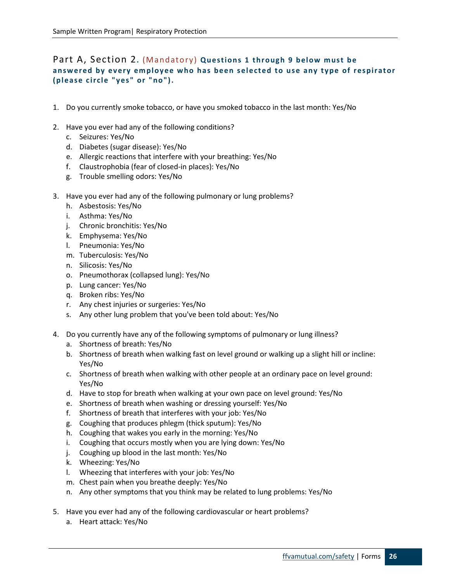#### <span id="page-25-0"></span>Part A, Section 2**.** (Mandatory) **Questions 1 through 9 below must be answered by every employee who has been selected to use any type of respirator (please circle "yes" or "no").**

- 1. Do you currently smoke tobacco, or have you smoked tobacco in the last month: Yes/No
- 2. Have you ever had any of the following conditions?
	- c. Seizures: Yes/No
	- d. Diabetes (sugar disease): Yes/No
	- e. Allergic reactions that interfere with your breathing: Yes/No
	- f. Claustrophobia (fear of closed-in places): Yes/No
	- g. Trouble smelling odors: Yes/No
- 3. Have you ever had any of the following pulmonary or lung problems?
	- h. Asbestosis: Yes/No
	- i. Asthma: Yes/No
	- j. Chronic bronchitis: Yes/No
	- k. Emphysema: Yes/No
	- l. Pneumonia: Yes/No
	- m. Tuberculosis: Yes/No
	- n. Silicosis: Yes/No
	- o. Pneumothorax (collapsed lung): Yes/No
	- p. Lung cancer: Yes/No
	- q. Broken ribs: Yes/No
	- r. Any chest injuries or surgeries: Yes/No
	- s. Any other lung problem that you've been told about: Yes/No
- 4. Do you currently have any of the following symptoms of pulmonary or lung illness?
	- a. Shortness of breath: Yes/No
	- b. Shortness of breath when walking fast on level ground or walking up a slight hill or incline: Yes/No
	- c. Shortness of breath when walking with other people at an ordinary pace on level ground: Yes/No
	- d. Have to stop for breath when walking at your own pace on level ground: Yes/No
	- e. Shortness of breath when washing or dressing yourself: Yes/No
	- f. Shortness of breath that interferes with your job: Yes/No
	- g. Coughing that produces phlegm (thick sputum): Yes/No
	- h. Coughing that wakes you early in the morning: Yes/No
	- i. Coughing that occurs mostly when you are lying down: Yes/No
	- j. Coughing up blood in the last month: Yes/No
	- k. Wheezing: Yes/No
	- l. Wheezing that interferes with your job: Yes/No
	- m. Chest pain when you breathe deeply: Yes/No
	- n. Any other symptoms that you think may be related to lung problems: Yes/No
- 5. Have you ever had any of the following cardiovascular or heart problems?
	- a. Heart attack: Yes/No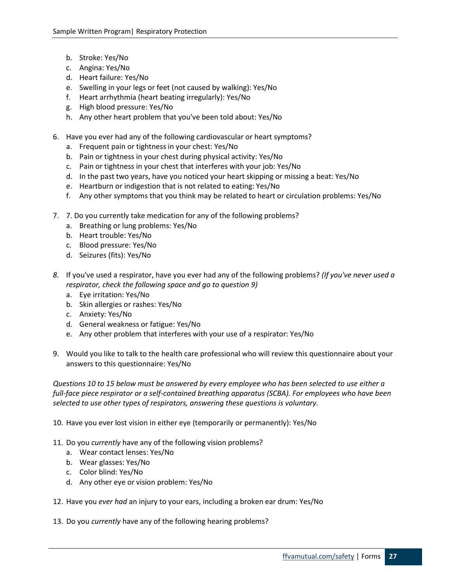- b. Stroke: Yes/No
- c. Angina: Yes/No
- d. Heart failure: Yes/No
- e. Swelling in your legs or feet (not caused by walking): Yes/No
- f. Heart arrhythmia (heart beating irregularly): Yes/No
- g. High blood pressure: Yes/No
- h. Any other heart problem that you've been told about: Yes/No
- 6. Have you ever had any of the following cardiovascular or heart symptoms?
	- a. Frequent pain or tightness in your chest: Yes/No
	- b. Pain or tightness in your chest during physical activity: Yes/No
	- c. Pain or tightness in your chest that interferes with your job: Yes/No
	- d. In the past two years, have you noticed your heart skipping or missing a beat: Yes/No
	- e. Heartburn or indigestion that is not related to eating: Yes/No
	- f. Any other symptoms that you think may be related to heart or circulation problems: Yes/No
- 7. 7. Do you currently take medication for any of the following problems?
	- a. Breathing or lung problems: Yes/No
	- b. Heart trouble: Yes/No
	- c. Blood pressure: Yes/No
	- d. Seizures (fits): Yes/No
- *8.* If you've used a respirator, have you ever had any of the following problems? *(If you've never used a respirator, check the following space and go to question 9)* 
	- a. Eye irritation: Yes/No
	- b. Skin allergies or rashes: Yes/No
	- c. Anxiety: Yes/No
	- d. General weakness or fatigue: Yes/No
	- e. Any other problem that interferes with your use of a respirator: Yes/No
- 9. Would you like to talk to the health care professional who will review this questionnaire about your answers to this questionnaire: Yes/No

*Questions 10 to 15 below must be answered by every employee who has been selected to use either a full-face piece respirator or a self-contained breathing apparatus (SCBA). For employees who have been selected to use other types of respirators, answering these questions is voluntary.* 

- 10. Have you ever lost vision in either eye (temporarily or permanently): Yes/No
- 11. Do you *currently* have any of the following vision problems?
	- a. Wear contact lenses: Yes/No
	- b. Wear glasses: Yes/No
	- c. Color blind: Yes/No
	- d. Any other eye or vision problem: Yes/No
- 12. Have you *ever had* an injury to your ears, including a broken ear drum: Yes/No
- 13. Do you *currently* have any of the following hearing problems?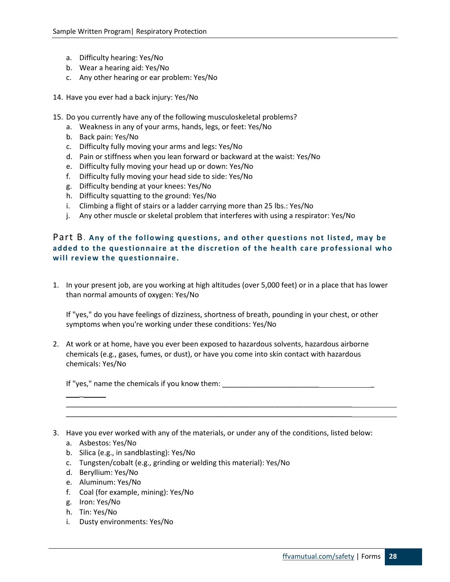- a. Difficulty hearing: Yes/No
- b. Wear a hearing aid: Yes/No
- c. Any other hearing or ear problem: Yes/No
- 14. Have you ever had a back injury: Yes/No
- 15. Do you currently have any of the following musculoskeletal problems?
	- a. Weakness in any of your arms, hands, legs, or feet: Yes/No
	- b. Back pain: Yes/No
	- c. Difficulty fully moving your arms and legs: Yes/No
	- d. Pain or stiffness when you lean forward or backward at the waist: Yes/No
	- e. Difficulty fully moving your head up or down: Yes/No
	- f. Difficulty fully moving your head side to side: Yes/No
	- g. Difficulty bending at your knees: Yes/No
	- h. Difficulty squatting to the ground: Yes/No
	- i. Climbing a flight of stairs or a ladder carrying more than 25 lbs.: Yes/No
	- j. Any other muscle or skeletal problem that interferes with using a respirator: Yes/No

#### <span id="page-27-0"></span>Part B. **Any of the following questions, and other questions not listed, may be added to the questionnaire at the discretion of the health care professional who will review the questionnaire.**

1. In your present job, are you working at high altitudes (over 5,000 feet) or in a place that has lower than normal amounts of oxygen: Yes/No

If "yes," do you have feelings of dizziness, shortness of breath, pounding in your chest, or other symptoms when you're working under these conditions: Yes/No

2. At work or at home, have you ever been exposed to hazardous solvents, hazardous airborne chemicals (e.g., gases, fumes, or dust), or have you come into skin contact with hazardous chemicals: Yes/No

If "yes," name the chemicals if you know them:

3. Have you ever worked with any of the materials, or under any of the conditions, listed below:

\_\_\_\_\_\_\_\_\_\_\_\_\_\_\_\_\_\_\_\_\_\_\_\_\_\_\_\_\_\_\_\_\_\_\_\_\_\_\_\_\_\_\_\_\_\_\_\_\_\_\_\_\_\_\_\_\_\_\_\_\_\_\_\_\_\_\_\_\_\_\_ \_\_\_\_\_\_\_\_\_\_\_\_\_\_\_\_\_\_\_\_\_\_\_\_\_\_\_\_\_\_\_\_\_\_\_\_\_\_\_\_\_\_\_\_\_\_\_\_\_\_\_\_\_\_\_\_\_\_\_\_\_\_\_\_\_\_\_\_\_\_\_

a. Asbestos: Yes/No

\_

- b. Silica (e.g., in sandblasting): Yes/No
- c. Tungsten/cobalt (e.g., grinding or welding this material): Yes/No
- d. Beryllium: Yes/No
- e. Aluminum: Yes/No
- f. Coal (for example, mining): Yes/No
- g. Iron: Yes/No
- h. Tin: Yes/No
- i. Dusty environments: Yes/No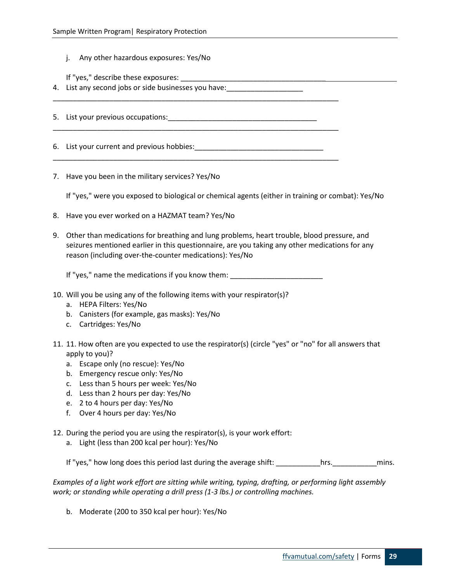j. Any other hazardous exposures: Yes/No

If "yes," describe these exposures: \_\_\_\_\_\_\_\_\_\_\_\_\_\_\_\_\_\_\_\_\_\_\_\_\_\_\_\_\_\_\_\_\_\_\_\_

4. List any second jobs or side businesses you have: \_\_\_\_\_\_\_\_\_\_\_\_\_\_\_\_\_\_\_\_\_\_\_\_\_\_\_

5. List your previous occupations:

6. List your current and previous hobbies: example the set of the set of the set of the set of the set of the set of the set of the set of the set of the set of the set of the set of the set of the set of the set of the se

\_\_\_\_\_\_\_\_\_\_\_\_\_\_\_\_\_\_\_\_\_\_\_\_\_\_\_\_\_\_\_\_\_\_\_\_\_\_\_\_\_\_\_\_\_\_\_\_\_\_\_\_\_\_\_\_\_\_\_\_\_\_\_\_\_\_\_\_\_\_\_

\_\_\_\_\_\_\_\_\_\_\_\_\_\_\_\_\_\_\_\_\_\_\_\_\_\_\_\_\_\_\_\_\_\_\_\_\_\_\_\_\_\_\_\_\_\_\_\_\_\_\_\_\_\_\_\_\_\_\_\_\_\_\_\_\_\_\_\_\_\_\_

\_\_\_\_\_\_\_\_\_\_\_\_\_\_\_\_\_\_\_\_\_\_\_\_\_\_\_\_\_\_\_\_\_\_\_\_\_\_\_\_\_\_\_\_\_\_\_\_\_\_\_\_\_\_\_\_\_\_\_\_\_\_\_\_\_\_\_\_\_\_\_

7. Have you been in the military services? Yes/No

If "yes," were you exposed to biological or chemical agents (either in training or combat): Yes/No

- 8. Have you ever worked on a HAZMAT team? Yes/No
- 9. Other than medications for breathing and lung problems, heart trouble, blood pressure, and seizures mentioned earlier in this questionnaire, are you taking any other medications for any reason (including over-the-counter medications): Yes/No

If "yes," name the medications if you know them: \_\_\_\_\_\_\_\_\_\_\_\_\_\_\_\_\_\_\_\_\_\_\_\_\_\_\_\_\_\_\_

- 10. Will you be using any of the following items with your respirator(s)?
	- a. HEPA Filters: Yes/No
	- b. Canisters (for example, gas masks): Yes/No
	- c. Cartridges: Yes/No
- 11. 11. How often are you expected to use the respirator(s) (circle "yes" or "no" for all answers that apply to you)?
	- a. Escape only (no rescue): Yes/No
	- b. Emergency rescue only: Yes/No
	- c. Less than 5 hours per week: Yes/No
	- d. Less than 2 hours per day: Yes/No
	- e. 2 to 4 hours per day: Yes/No
	- f. Over 4 hours per day: Yes/No
- 12. During the period you are using the respirator(s), is your work effort:
	- a. Light (less than 200 kcal per hour): Yes/No

If "yes," how long does this period last during the average shift: \_\_\_\_\_\_\_\_\_\_hrs. \_\_\_\_\_\_\_\_\_\_\_\_\_\_\_\_\_\_\_\_\_\_\_\_\_\_\_

*Examples of a light work effort are sitting while writing, typing, drafting, or performing light assembly work; or standing while operating a drill press (1-3 lbs.) or controlling machines.* 

b. Moderate (200 to 350 kcal per hour): Yes/No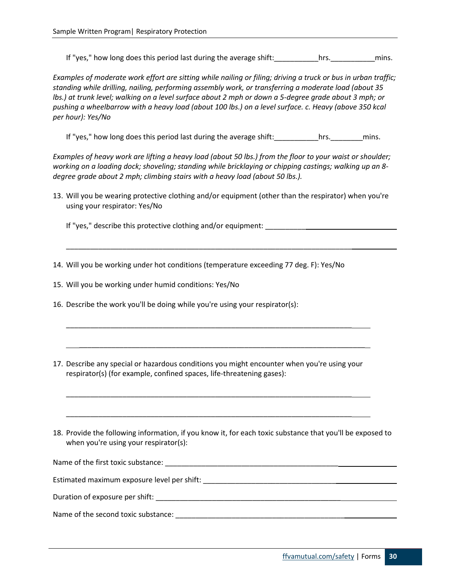If "yes," how long does this period last during the average shift: example hrs. This mins.

*Examples of moderate work effort are sitting while nailing or filing; driving a truck or bus in urban traffic; standing while drilling, nailing, performing assembly work, or transferring a moderate load (about 35 lbs.) at trunk level; walking on a level surface about 2 mph or down a 5-degree grade about 3 mph; or pushing a wheelbarrow with a heavy load (about 100 lbs.) on a level surface. c. Heavy (above 350 kcal per hour): Yes/No* 

If "yes," how long does this period last during the average shift: \_\_\_\_\_\_\_\_\_\_hrs. \_\_\_\_\_\_\_\_\_\_\_\_\_\_\_\_\_\_\_\_\_\_\_\_\_\_\_\_

*Examples of heavy work are lifting a heavy load (about 50 lbs.) from the floor to your waist or shoulder; working on a loading dock; shoveling; standing while bricklaying or chipping castings; walking up an 8 degree grade about 2 mph; climbing stairs with a heavy load (about 50 lbs.).* 

13. Will you be wearing protective clothing and/or equipment (other than the respirator) when you're using your respirator: Yes/No

If "yes," describe this protective clothing and/or equipment: \_\_\_\_\_\_\_\_\_\_

14. Will you be working under hot conditions (temperature exceeding 77 deg. F): Yes/No

\_\_\_\_\_\_\_\_\_\_\_\_\_\_\_\_\_\_\_\_\_\_\_\_\_\_\_\_\_\_\_\_\_\_\_\_\_\_\_\_\_\_\_\_\_\_\_\_\_\_\_\_\_\_\_\_\_\_\_\_\_\_\_\_\_\_\_\_\_\_\_

15. Will you be working under humid conditions: Yes/No

- 16. Describe the work you'll be doing while you're using your respirator(s):
- 17. Describe any special or hazardous conditions you might encounter when you're using your respirator(s) (for example, confined spaces, life-threatening gases):

\_\_\_\_\_\_\_\_\_\_\_\_\_\_\_\_\_\_\_\_\_\_\_\_\_\_\_\_\_\_\_\_\_\_\_\_\_\_\_\_\_\_\_\_\_\_\_\_\_\_\_\_\_\_\_\_\_\_\_\_\_\_\_\_\_\_\_\_\_\_\_

\_\_\_\_\_\_\_\_\_\_\_\_\_\_\_\_\_\_\_\_\_\_\_\_\_\_\_\_\_\_\_\_\_\_\_\_\_\_\_\_\_\_\_\_\_\_\_\_\_\_\_\_\_\_\_\_\_\_\_\_\_\_\_\_\_\_\_\_\_\_\_

\_\_\_\_\_\_\_\_\_\_\_\_\_\_\_\_\_\_\_\_\_\_\_\_\_\_\_\_\_\_\_\_\_\_\_\_\_\_\_\_\_\_\_\_\_\_\_\_\_\_\_\_\_\_\_\_\_\_\_\_\_\_\_\_\_\_\_\_\_\_\_

\_\_\_\_\_\_\_\_\_\_\_\_\_\_\_\_\_\_\_\_\_\_\_\_\_\_\_\_\_\_\_\_\_\_\_\_\_\_\_\_\_\_\_\_\_\_\_\_\_\_\_\_\_\_\_\_\_\_\_\_\_\_\_\_\_\_\_\_\_\_\_

18. Provide the following information, if you know it, for each toxic substance that you'll be exposed to when you're using your respirator(s):

| Name of the first toxic substance:          |  |
|---------------------------------------------|--|
| Estimated maximum exposure level per shift: |  |
| Duration of exposure per shift:             |  |
| Name of the second toxic substance:         |  |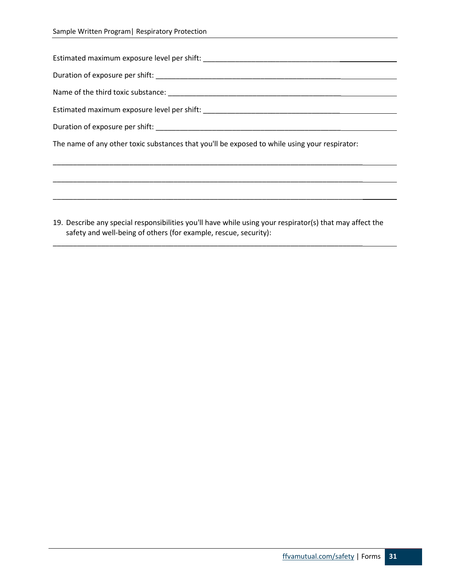| Name of the third toxic substance: Name of the third toxic substance:                                                                                                                                                          |
|--------------------------------------------------------------------------------------------------------------------------------------------------------------------------------------------------------------------------------|
| Estimated maximum exposure level per shift: National Contract Contract Contract Contract Contract Contract Contract Contract Contract Contract Contract Contract Contract Contract Contract Contract Contract Contract Contrac |
| Duration of exposure per shift: Next and the state of the state of the state of the state of the state of the state of the state of the state of the state of the state of the state of the state of the state of the state of |
| The name of any other toxic substances that you'll be exposed to while using your respirator:                                                                                                                                  |
|                                                                                                                                                                                                                                |

19. Describe any special responsibilities you'll have while using your respirator(s) that may affect the safety and well-being of others (for example, rescue, security):

\_\_\_\_\_\_\_\_\_\_\_\_\_\_\_\_\_\_\_\_\_\_\_\_\_\_\_\_\_\_\_\_\_\_\_\_\_\_\_\_\_\_\_\_\_\_\_\_\_\_\_\_\_\_\_\_\_\_\_\_\_\_\_\_\_\_\_\_\_\_\_\_\_\_\_\_\_

\_\_\_\_\_\_\_\_\_\_\_\_\_\_\_\_\_\_\_\_\_\_\_\_\_\_\_\_\_\_\_\_\_\_\_\_\_\_\_\_\_\_\_\_\_\_\_\_\_\_\_\_\_\_\_\_\_\_\_\_\_\_\_\_\_\_\_\_\_\_\_\_\_\_\_\_\_

\_\_\_\_\_\_\_\_\_\_\_\_\_\_\_\_\_\_\_\_\_\_\_\_\_\_\_\_\_\_\_\_\_\_\_\_\_\_\_\_\_\_\_\_\_\_\_\_\_\_\_\_\_\_\_\_\_\_\_\_\_\_\_\_\_\_\_\_\_\_\_\_\_\_\_\_\_